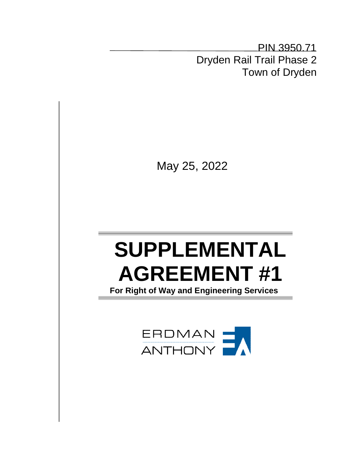PIN 3950.71 Dryden Rail Trail Phase 2 Town of Dryden

May 25, 2022

# **SUPPLEMENTAL AGREEMENT #1**

 **For Right of Way and Engineering Services**

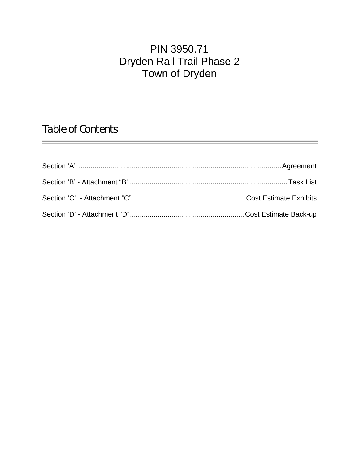## PIN 3950.71 Dryden Rail Trail Phase 2 Town of Dryden

*Table of Contents*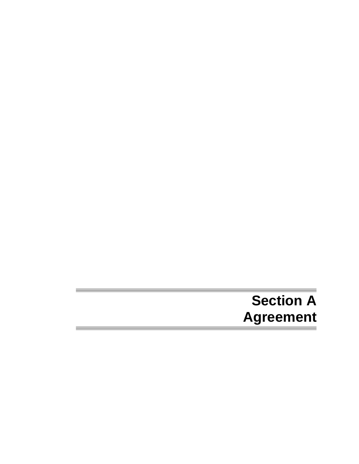## **Section A Agreement**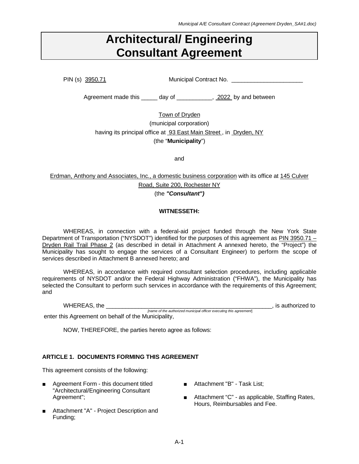## **Architectural/ Engineering Consultant Agreement**

PIN (s) 3950.71 Municipal Contract No.

Agreement made this \_\_\_\_\_ day of \_\_\_\_\_\_\_\_\_\_, 2022 by and between

Town of Dryden (municipal corporation) having its principal office at 93 East Main Street, in Dryden, NY (the "**Municipality**")

and

Erdman, Anthony and Associates, Inc., a domestic business corporation with its office at 145 Culver Road, Suite 200, Rochester NY (the *"Consultant")*

#### **WITNESSETH:**

WHEREAS, in connection with a federal-aid project funded through the New York State Department of Transportation ("NYSDOT") identified for the purposes of this agreement as PIN 3950.71 -Dryden Rail Trail Phase 2 (as described in detail in Attachment A annexed hereto, the "Project") the Municipality has sought to engage the services of a Consultant Engineer) to perform the scope of services described in Attachment B annexed hereto; and

WHEREAS, in accordance with required consultant selection procedures, including applicable requirements of NYSDOT and/or the Federal Highway Administration ("FHWA"), the Municipality has selected the Consultant to perform such services in accordance with the requirements of this Agreement; and

WHEREAS, the \_\_\_\_\_\_\_\_\_\_\_\_\_\_\_\_\_\_\_\_\_\_\_\_\_\_\_\_\_\_\_\_\_\_\_\_\_\_\_\_\_\_\_\_\_\_\_\_\_\_\_, is authorized to *[name of the authorized municipal officer executing this agreement*]

enter this Agreement on behalf of the Municipality,

NOW, THEREFORE, the parties hereto agree as follows:

#### **ARTICLE 1. DOCUMENTS FORMING THIS AGREEMENT**

This agreement consists of the following:

- Agreement Form this document titled "Architectural/Engineering Consultant Agreement";
- Attachment "A" Project Description and Funding;
- Attachment "B" Task List;
- Attachment "C" as applicable, Staffing Rates, Hours, Reimbursables and Fee.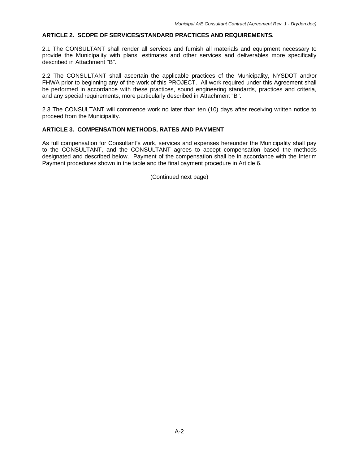#### **ARTICLE 2. SCOPE OF SERVICES/STANDARD PRACTICES AND REQUIREMENTS.**

2.1 The CONSULTANT shall render all services and furnish all materials and equipment necessary to provide the Municipality with plans, estimates and other services and deliverables more specifically described in Attachment "B".

2.2 The CONSULTANT shall ascertain the applicable practices of the Municipality, NYSDOT and/or FHWA prior to beginning any of the work of this PROJECT. All work required under this Agreement shall be performed in accordance with these practices, sound engineering standards, practices and criteria, and any special requirements, more particularly described in Attachment "B".

2.3 The CONSULTANT will commence work no later than ten (10) days after receiving written notice to proceed from the Municipality.

#### **ARTICLE 3. COMPENSATION METHODS, RATES AND PAYMENT**

As full compensation for Consultant's work, services and expenses hereunder the Municipality shall pay to the CONSULTANT, and the CONSULTANT agrees to accept compensation based the methods designated and described below. Payment of the compensation shall be in accordance with the Interim Payment procedures shown in the table and the final payment procedure in Article 6.

(Continued next page)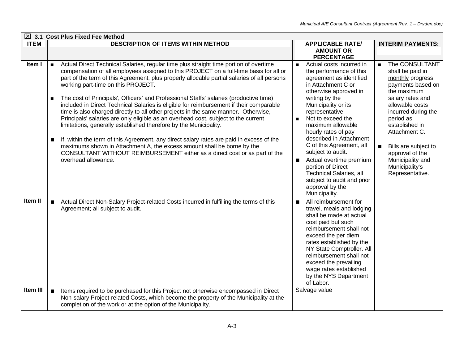|             |                                       | $\boxtimes$ 3.1 Cost Plus Fixed Fee Method                                                                                                                                                                                                                                                                                                                                                                                                                                                                                                                                                                                                                                                                                                                                                                                                                                                                                                                                                                                             |                                                                                                                                                                                                                                                                                                                                                                                                                                                                                                                                |                                                                                                                                                                                                                                                                                                                                |
|-------------|---------------------------------------|----------------------------------------------------------------------------------------------------------------------------------------------------------------------------------------------------------------------------------------------------------------------------------------------------------------------------------------------------------------------------------------------------------------------------------------------------------------------------------------------------------------------------------------------------------------------------------------------------------------------------------------------------------------------------------------------------------------------------------------------------------------------------------------------------------------------------------------------------------------------------------------------------------------------------------------------------------------------------------------------------------------------------------------|--------------------------------------------------------------------------------------------------------------------------------------------------------------------------------------------------------------------------------------------------------------------------------------------------------------------------------------------------------------------------------------------------------------------------------------------------------------------------------------------------------------------------------|--------------------------------------------------------------------------------------------------------------------------------------------------------------------------------------------------------------------------------------------------------------------------------------------------------------------------------|
| <b>ITEM</b> |                                       | <b>DESCRIPTION OF ITEMS WITHIN METHOD</b>                                                                                                                                                                                                                                                                                                                                                                                                                                                                                                                                                                                                                                                                                                                                                                                                                                                                                                                                                                                              | <b>APPLICABLE RATE/</b><br><b>AMOUNT OR</b><br><b>PERCENTAGE</b>                                                                                                                                                                                                                                                                                                                                                                                                                                                               | <b>INTERIM PAYMENTS:</b>                                                                                                                                                                                                                                                                                                       |
| Item I      | $\blacksquare$<br>$\blacksquare$<br>п | Actual Direct Technical Salaries, regular time plus straight time portion of overtime<br>compensation of all employees assigned to this PROJECT on a full-time basis for all or<br>part of the term of this Agreement, plus properly allocable partial salaries of all persons<br>working part-time on this PROJECT.<br>The cost of Principals', Officers' and Professional Staffs' salaries (productive time)<br>included in Direct Technical Salaries is eligible for reimbursement if their comparable<br>time is also charged directly to all other projects in the same manner. Otherwise,<br>Principals' salaries are only eligible as an overhead cost, subject to the current<br>limitations, generally established therefore by the Municipality.<br>If, within the term of this Agreement, any direct salary rates are paid in excess of the<br>maximums shown in Attachment A, the excess amount shall be borne by the<br>CONSULTANT WITHOUT REIMBURSEMENT either as a direct cost or as part of the<br>overhead allowance. | Actual costs incurred in<br>$\blacksquare$<br>the performance of this<br>agreement as identified<br>in Attachment C or<br>otherwise approved in<br>writing by the<br>Municipality or its<br>representative.<br>Not to exceed the<br>maximum allowable<br>hourly rates of pay<br>described in Attachment<br>C of this Agreement, all<br>subject to audit.<br>Actual overtime premium<br>$\blacksquare$<br>portion of Direct<br><b>Technical Salaries, all</b><br>subject to audit and prior<br>approval by the<br>Municipality. | The CONSULTANT<br>$\blacksquare$<br>shall be paid in<br>monthly progress<br>payments based on<br>the maximum<br>salary rates and<br>allowable costs<br>incurred during the<br>period as<br>established in<br>Attachment C.<br>Bills are subject to<br>approval of the<br>Municipality and<br>Municipality's<br>Representative. |
| Item II     | $\blacksquare$                        | Actual Direct Non-Salary Project-related Costs incurred in fulfilling the terms of this<br>Agreement; all subject to audit.                                                                                                                                                                                                                                                                                                                                                                                                                                                                                                                                                                                                                                                                                                                                                                                                                                                                                                            | All reimbursement for<br>$\blacksquare$<br>travel, meals and lodging<br>shall be made at actual<br>cost paid but such<br>reimbursement shall not<br>exceed the per diem<br>rates established by the<br>NY State Comptroller. All<br>reimbursement shall not<br>exceed the prevailing<br>wage rates established<br>by the NYS Department<br>of Labor.                                                                                                                                                                           |                                                                                                                                                                                                                                                                                                                                |
| Item III    | $\blacksquare$                        | Items required to be purchased for this Project not otherwise encompassed in Direct<br>Non-salary Project-related Costs, which become the property of the Municipality at the<br>completion of the work or at the option of the Municipality.                                                                                                                                                                                                                                                                                                                                                                                                                                                                                                                                                                                                                                                                                                                                                                                          | Salvage value                                                                                                                                                                                                                                                                                                                                                                                                                                                                                                                  |                                                                                                                                                                                                                                                                                                                                |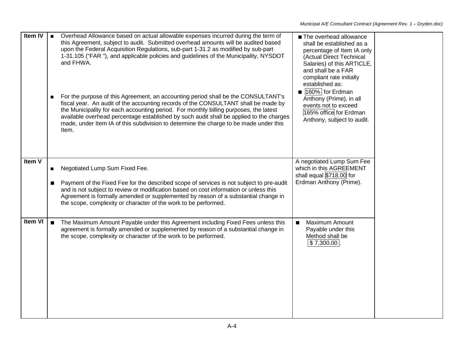| Item IV |                | Overhead Allowance based on actual allowable expenses incurred during the term of<br>this Agreement, subject to audit. Submitted overhead amounts will be audited based<br>upon the Federal Acquisition Regulations, sub-part 1-31.2 as modified by sub-part<br>1-31.105 ("FAR "), and applicable policies and guidelines of the Municipality, NYSDOT<br>and FHWA.<br>For the purpose of this Agreement, an accounting period shall be the CONSULTANT's<br>fiscal year. An audit of the accounting records of the CONSULTANT shall be made by<br>the Municipality for each accounting period. For monthly billing purposes, the latest<br>available overhead percentage established by such audit shall be applied to the charges<br>made, under Item IA of this subdivision to determine the charge to be made under this<br>Item. | The overhead allowance<br>shall be established as a<br>percentage of Item IA only<br>(Actual Direct Technical<br>Salaries) of this ARTICLE,<br>and shall be a FAR<br>compliant rate initially<br>established as:<br>160% for Erdman<br>Anthony (Prime), in all<br>events not to exceed<br>165% office for Erdman<br>Anthony, subject to audit. |
|---------|----------------|-------------------------------------------------------------------------------------------------------------------------------------------------------------------------------------------------------------------------------------------------------------------------------------------------------------------------------------------------------------------------------------------------------------------------------------------------------------------------------------------------------------------------------------------------------------------------------------------------------------------------------------------------------------------------------------------------------------------------------------------------------------------------------------------------------------------------------------|------------------------------------------------------------------------------------------------------------------------------------------------------------------------------------------------------------------------------------------------------------------------------------------------------------------------------------------------|
| Item V  | $\blacksquare$ | Negotiated Lump Sum Fixed Fee.<br>Payment of the Fixed Fee for the described scope of services is not subject to pre-audit<br>and is not subject to review or modification based on cost information or unless this<br>Agreement is formally amended or supplemented by reason of a substantial change in<br>the scope, complexity or character of the work to be performed.                                                                                                                                                                                                                                                                                                                                                                                                                                                        | A negotiated Lump Sum Fee<br>which in this AGREEMENT<br>shall equal \$718.00 for<br>Erdman Anthony (Prime).                                                                                                                                                                                                                                    |
| Item VI |                | The Maximum Amount Payable under this Agreement including Fixed Fees unless this<br>agreement is formally amended or supplemented by reason of a substantial change in<br>the scope, complexity or character of the work to be performed.                                                                                                                                                                                                                                                                                                                                                                                                                                                                                                                                                                                           | Maximum Amount<br>Payable under this<br>Method shall be<br>\$7,300.00                                                                                                                                                                                                                                                                          |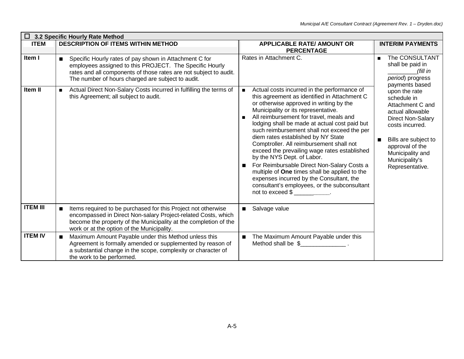| <b>ITEM</b>     | <b>DESCRIPTION OF ITEMS WITHIN METHOD</b>                                                                                                                                                                                                        | <b>APPLICABLE RATE/ AMOUNT OR</b><br><b>PERCENTAGE</b>                                                                                                                                                                                                                                                                                                                                                                                                                                                                                                                                                                                                                                                       | <b>INTERIM PAYMENTS</b>                                                                                                                                                                                                 |
|-----------------|--------------------------------------------------------------------------------------------------------------------------------------------------------------------------------------------------------------------------------------------------|--------------------------------------------------------------------------------------------------------------------------------------------------------------------------------------------------------------------------------------------------------------------------------------------------------------------------------------------------------------------------------------------------------------------------------------------------------------------------------------------------------------------------------------------------------------------------------------------------------------------------------------------------------------------------------------------------------------|-------------------------------------------------------------------------------------------------------------------------------------------------------------------------------------------------------------------------|
| Item I          | Specific Hourly rates of pay shown in Attachment C for<br>п<br>employees assigned to this PROJECT. The Specific Hourly<br>rates and all components of those rates are not subject to audit.<br>The number of hours charged are subject to audit. | Rates in Attachment C.                                                                                                                                                                                                                                                                                                                                                                                                                                                                                                                                                                                                                                                                                       | The CONSULTANT<br>$\blacksquare$<br>shall be paid in<br>(fill in<br>period) progress<br>payments based                                                                                                                  |
| Item II         | Actual Direct Non-Salary Costs incurred in fulfilling the terms of<br>$\blacksquare$<br>this Agreement; all subject to audit.                                                                                                                    | Actual costs incurred in the performance of<br>this agreement as identified in Attachment C<br>or otherwise approved in writing by the<br>Municipality or its representative.<br>All reimbursement for travel, meals and<br>lodging shall be made at actual cost paid but<br>such reimbursement shall not exceed the per<br>diem rates established by NY State<br>Comptroller. All reimbursement shall not<br>exceed the prevailing wage rates established<br>by the NYS Dept. of Labor.<br>For Reimbursable Direct Non-Salary Costs a<br>п<br>multiple of One times shall be applied to the<br>expenses incurred by the Consultant, the<br>consultant's employees, or the subconsultant<br>not to exceed \$ | upon the rate<br>schedule in<br>Attachment C and<br>actual allowable<br><b>Direct Non-Salary</b><br>costs incurred.<br>Bills are subject to<br>approval of the<br>Municipality and<br>Municipality's<br>Representative. |
| <b>ITEM III</b> | Items required to be purchased for this Project not otherwise<br>encompassed in Direct Non-salary Project-related Costs, which<br>become the property of the Municipality at the completion of the<br>work or at the option of the Municipality. | Salvage value                                                                                                                                                                                                                                                                                                                                                                                                                                                                                                                                                                                                                                                                                                |                                                                                                                                                                                                                         |
| <b>ITEM IV</b>  | Maximum Amount Payable under this Method unless this<br>Agreement is formally amended or supplemented by reason of<br>a substantial change in the scope, complexity or character of<br>the work to be performed.                                 | The Maximum Amount Payable under this<br>Method shall be \$                                                                                                                                                                                                                                                                                                                                                                                                                                                                                                                                                                                                                                                  |                                                                                                                                                                                                                         |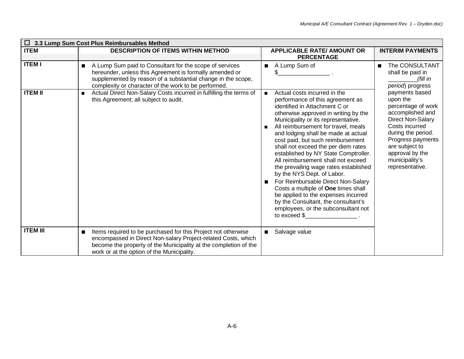|                 | $\Box$ 3.3 Lump Sum Cost Plus Reimbursables Method                                                                                                                                                                                                           |                                                                                                                                                                                                                                                                                                                                                                                                                                                                                                                                                                                                                                                                                                                                                            |                                                                                                                                                                                                                                         |
|-----------------|--------------------------------------------------------------------------------------------------------------------------------------------------------------------------------------------------------------------------------------------------------------|------------------------------------------------------------------------------------------------------------------------------------------------------------------------------------------------------------------------------------------------------------------------------------------------------------------------------------------------------------------------------------------------------------------------------------------------------------------------------------------------------------------------------------------------------------------------------------------------------------------------------------------------------------------------------------------------------------------------------------------------------------|-----------------------------------------------------------------------------------------------------------------------------------------------------------------------------------------------------------------------------------------|
| <b>ITEM</b>     | <b>DESCRIPTION OF ITEMS WITHIN METHOD</b>                                                                                                                                                                                                                    | <b>APPLICABLE RATE/ AMOUNT OR</b><br><b>PERCENTAGE</b>                                                                                                                                                                                                                                                                                                                                                                                                                                                                                                                                                                                                                                                                                                     | <b>INTERIM PAYMENTS</b>                                                                                                                                                                                                                 |
| <b>ITEM I</b>   | A Lump Sum paid to Consultant for the scope of services<br>$\blacksquare$<br>hereunder, unless this Agreement is formally amended or<br>supplemented by reason of a substantial change in the scope,<br>complexity or character of the work to be performed. | A Lump Sum of<br>п                                                                                                                                                                                                                                                                                                                                                                                                                                                                                                                                                                                                                                                                                                                                         | The CONSULTANT<br>■<br>shall be paid in<br>(fill in<br>period) progress                                                                                                                                                                 |
| <b>ITEM II</b>  | Actual Direct Non-Salary Costs incurred in fulfilling the terms of<br>$\blacksquare$<br>this Agreement; all subject to audit.                                                                                                                                | Actual costs incurred in the<br>$\blacksquare$<br>performance of this agreement as<br>identified in Attachment C or<br>otherwise approved in writing by the<br>Municipality or its representative.<br>All reimbursement for travel, meals<br>$\blacksquare$<br>and lodging shall be made at actual<br>cost paid, but such reimbursement<br>shall not exceed the per diem rates<br>established by NY State Comptroller.<br>All reimbursement shall not exceed<br>the prevailing wage rates established<br>by the NYS Dept. of Labor.<br>For Reimbursable Direct Non-Salary<br>■<br>Costs a multiple of One times shall<br>be applied to the expenses incurred<br>by the Consultant, the consultant's<br>employees, or the subconsultant not<br>to exceed \$ | payments based<br>upon the<br>percentage of work<br>accomplished and<br><b>Direct Non-Salary</b><br>Costs incurred<br>during the period.<br>Progress payments<br>are subject to<br>approval by the<br>municipality's<br>representative. |
| <b>ITEM III</b> | Items required to be purchased for this Project not otherwise<br>■<br>encompassed in Direct Non-salary Project-related Costs, which<br>become the property of the Municipality at the completion of the<br>work or at the option of the Municipality.        | Salvage value<br>п                                                                                                                                                                                                                                                                                                                                                                                                                                                                                                                                                                                                                                                                                                                                         |                                                                                                                                                                                                                                         |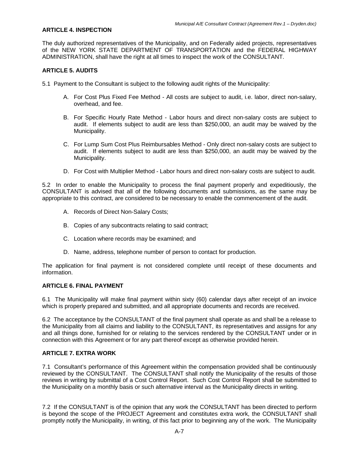#### **ARTICLE 4. INSPECTION**

The duly authorized representatives of the Municipality, and on Federally aided projects, representatives of the NEW YORK STATE DEPARTMENT OF TRANSPORTATION and the FEDERAL HIGHWAY ADMINISTRATION, shall have the right at all times to inspect the work of the CONSULTANT.

#### **ARTICLE 5. AUDITS**

5.1 Payment to the Consultant is subject to the following audit rights of the Municipality:

- A. For Cost Plus Fixed Fee Method All costs are subject to audit, i.e. labor, direct non-salary, overhead, and fee.
- B. For Specific Hourly Rate Method Labor hours and direct non-salary costs are subject to audit. If elements subject to audit are less than \$250,000, an audit may be waived by the Municipality.
- C. For Lump Sum Cost Plus Reimbursables Method Only direct non-salary costs are subject to audit. If elements subject to audit are less than \$250,000, an audit may be waived by the Municipality.
- D. For Cost with Multiplier Method Labor hours and direct non-salary costs are subject to audit.

5.2 In order to enable the Municipality to process the final payment properly and expeditiously, the CONSULTANT is advised that all of the following documents and submissions, as the same may be appropriate to this contract, are considered to be necessary to enable the commencement of the audit.

- A. Records of Direct Non-Salary Costs;
- B. Copies of any subcontracts relating to said contract;
- C. Location where records may be examined; and
- D. Name, address, telephone number of person to contact for production.

The application for final payment is not considered complete until receipt of these documents and information.

#### **ARTICLE 6. FINAL PAYMENT**

6.1 The Municipality will make final payment within sixty (60) calendar days after receipt of an invoice which is properly prepared and submitted, and all appropriate documents and records are received.

6.2 The acceptance by the CONSULTANT of the final payment shall operate as and shall be a release to the Municipality from all claims and liability to the CONSULTANT, its representatives and assigns for any and all things done, furnished for or relating to the services rendered by the CONSULTANT under or in connection with this Agreement or for any part thereof except as otherwise provided herein.

#### **ARTICLE 7. EXTRA WORK**

7.1 Consultant's performance of this Agreement within the compensation provided shall be continuously reviewed by the CONSULTANT. The CONSULTANT shall notify the Municipality of the results of those reviews in writing by submittal of a Cost Control Report. Such Cost Control Report shall be submitted to the Municipality on a monthly basis or such alternative interval as the Municipality directs in writing.

7.2 If the CONSULTANT is of the opinion that any work the CONSULTANT has been directed to perform is beyond the scope of the PROJECT Agreement and constitutes extra work, the CONSULTANT shall promptly notify the Municipality, in writing, of this fact prior to beginning any of the work. The Municipality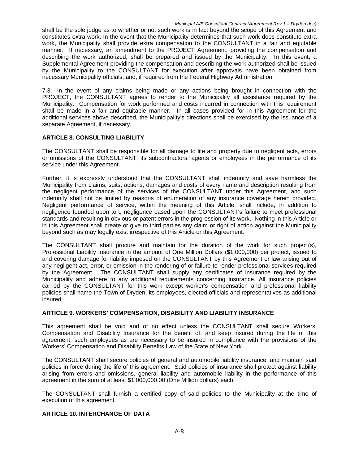shall be the sole judge as to whether or not such work is in fact beyond the scope of this Agreement and constitutes extra work. In the event that the Municipality determines that such work does constitute extra work, the Municipality shall provide extra compensation to the CONSULTANT in a fair and equitable manner. If necessary, an amendment to the PROJECT Agreement, providing the compensation and describing the work authorized, shall be prepared and issued by the Municipality. In this event, a Supplemental Agreement providing the compensation and describing the work authorized shall be issued by the Municipality to the CONSULTANT for execution after approvals have been obtained from necessary Municipality officials, and, if required from the Federal Highway Administration.

7.3 In the event of any claims being made or any actions being brought in connection with the PROJECT, the CONSULTANT agrees to render to the Municipality all assistance required by the Municipality. Compensation for work performed and costs incurred in connection with this requirement shall be made in a fair and equitable manner. In all cases provided for in this Agreement for the additional services above described, the Municipality's directions shall be exercised by the issuance of a separate Agreement, if necessary.

#### **ARTICLE 8. CONSULTING LIABILITY**

The CONSULTANT shall be responsible for all damage to life and property due to negligent acts, errors or omissions of the CONSULTANT, its subcontractors, agents or employees in the performance of its service under this Agreement.

Further, it is expressly understood that the CONSULTANT shall indemnify and save harmless the Municipality from claims, suits, actions, damages and costs of every name and description resulting from the negligent performance of the services of the CONSULTANT under this Agreement, and such indemnity shall not be limited by reasons of enumeration of any insurance coverage herein provided. Negligent performance of service, within the meaning of this Article, shall include, in addition to negligence founded upon tort, negligence based upon the CONSULTANT's failure to meet professional standards and resulting in obvious or patent errors in the progression of its work. Nothing in this Article or in this Agreement shall create or give to third parties any claim or right of action against the Municipality beyond such as may legally exist irrespective of this Article or this Agreement.

The CONSULTANT shall procure and maintain for the duration of the work for such project(s), Professional Liability Insurance in the amount of One Million Dollars (\$1,000,000) per project, issued to and covering damage for liability imposed on the CONSULTANT by this Agreement or law arising out of any negligent act, error, or omission in the rendering of or failure to render professional services required by the Agreement. The CONSULTANT shall supply any certificates of insurance required by the Municipality and adhere to any additional requirements concerning insurance. All insurance policies carried by the CONSULTANT for this work except worker's compensation and professional liability policies shall name the Town of Dryden, its employees, elected officials and representatives as additional insured.

#### **ARTICLE 9. WORKERS' COMPENSATION, DISABILITY AND LIABILITY INSURANCE**

This agreement shall be void and of no effect unless the CONSULTANT shall secure Workers' Compensation and Disability Insurance for the benefit of, and keep insured during the life of this agreement, such employees as are necessary to be insured in compliance with the provisions of the Workers' Compensation and Disability Benefits Law of the State of New York.

The CONSULTANT shall secure policies of general and automobile liability insurance, and maintain said policies in force during the life of this agreement. Said policies of insurance shall protect against liability arising from errors and omissions, general liability and automobile liability in the performance of this agreement in the sum of at least \$1,000,000.00 (One Million dollars) each.

The CONSULTANT shall furnish a certified copy of said policies to the Municipality at the time of execution of this agreement.

#### **ARTICLE 10. INTERCHANGE OF DATA**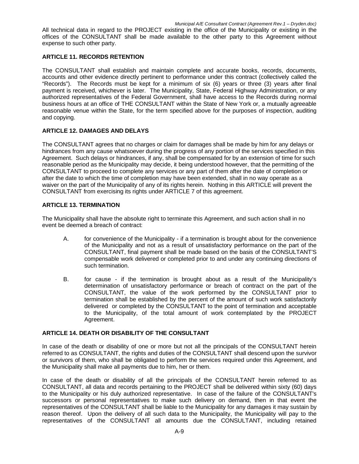All technical data in regard to the PROJECT existing in the office of the Municipality or existing in the offices of the CONSULTANT shall be made available to the other party to this Agreement without expense to such other party.

#### **ARTICLE 11. RECORDS RETENTION**

The CONSULTANT shall establish and maintain complete and accurate books, records, documents, accounts and other evidence directly pertinent to performance under this contract (collectively called the "Records"). The Records must be kept for a minimum of six (6) years or three (3) years after final payment is received, whichever is later. The Municipality, State, Federal Highway Administration, or any authorized representatives of the Federal Government, shall have access to the Records during normal business hours at an office of THE CONSULTANT within the State of New York or, a mutually agreeable reasonable venue within the State, for the term specified above for the purposes of inspection, auditing and copying.

#### **ARTICLE 12. DAMAGES AND DELAYS**

The CONSULTANT agrees that no charges or claim for damages shall be made by him for any delays or hindrances from any cause whatsoever during the progress of any portion of the services specified in this Agreement. Such delays or hindrances, if any, shall be compensated for by an extension of time for such reasonable period as the Municipality may decide, it being understood however, that the permitting of the CONSULTANT to proceed to complete any services or any part of them after the date of completion or after the date to which the time of completion may have been extended, shall in no way operate as a waiver on the part of the Municipality of any of its rights herein. Nothing in this ARTICLE will prevent the CONSULTANT from exercising its rights under ARTICLE 7 of this agreement.

#### **ARTICLE 13. TERMINATION**

The Municipality shall have the absolute right to terminate this Agreement, and such action shall in no event be deemed a breach of contract:

- A. for convenience of the Municipality if a termination is brought about for the convenience of the Municipality and not as a result of unsatisfactory performance on the part of the CONSULTANT, final payment shall be made based on the basis of the CONSULTANT'S compensable work delivered or completed prior to and under any continuing directions of such termination.
- B. for cause if the termination is brought about as a result of the Municipality's determination of unsatisfactory performance or breach of contract on the part of the CONSULTANT, the value of the work performed by the CONSULTANT prior to termination shall be established by the percent of the amount of such work satisfactorily delivered or completed by the CONSULTANT to the point of termination and acceptable to the Municipality, of the total amount of work contemplated by the PROJECT Agreement.

#### **ARTICLE 14. DEATH OR DISABILITY OF THE CONSULTANT**

In case of the death or disability of one or more but not all the principals of the CONSULTANT herein referred to as CONSULTANT, the rights and duties of the CONSULTANT shall descend upon the survivor or survivors of them, who shall be obligated to perform the services required under this Agreement, and the Municipality shall make all payments due to him, her or them.

In case of the death or disability of all the principals of the CONSULTANT herein referred to as CONSULTANT, all data and records pertaining to the PROJECT shall be delivered within sixty (60) days to the Municipality or his duly authorized representative. In case of the failure of the CONSULTANT's successors or personal representatives to make such delivery on demand, then in that event the representatives of the CONSULTANT shall be liable to the Municipality for any damages it may sustain by reason thereof. Upon the delivery of all such data to the Municipality, the Municipality will pay to the representatives of the CONSULTANT all amounts due the CONSULTANT, including retained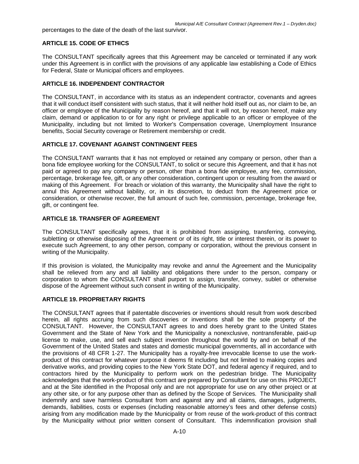percentages to the date of the death of the last survivor.

#### **ARTICLE 15. CODE OF ETHICS**

The CONSULTANT specifically agrees that this Agreement may be canceled or terminated if any work under this Agreement is in conflict with the provisions of any applicable law establishing a Code of Ethics for Federal, State or Municipal officers and employees.

#### **ARTICLE 16. INDEPENDENT CONTRACTOR**

The CONSULTANT, in accordance with its status as an independent contractor, covenants and agrees that it will conduct itself consistent with such status, that it will neither hold itself out as, nor claim to be, an officer or employee of the Municipality by reason hereof, and that it will not, by reason hereof, make any claim, demand or application to or for any right or privilege applicable to an officer or employee of the Municipality, including but not limited to Worker's Compensation coverage, Unemployment Insurance benefits, Social Security coverage or Retirement membership or credit.

#### **ARTICLE 17. COVENANT AGAINST CONTINGENT FEES**

The CONSULTANT warrants that it has not employed or retained any company or person, other than a bona fide employee working for the CONSULTANT, to solicit or secure this Agreement, and that it has not paid or agreed to pay any company or person, other than a bona fide employee, any fee, commission, percentage, brokerage fee, gift, or any other consideration, contingent upon or resulting from the award or making of this Agreement. For breach or violation of this warranty, the Municipality shall have the right to annul this Agreement without liability, or, in its discretion, to deduct from the Agreement price or consideration, or otherwise recover, the full amount of such fee, commission, percentage, brokerage fee, gift, or contingent fee.

#### **ARTICLE 18. TRANSFER OF AGREEMENT**

The CONSULTANT specifically agrees, that it is prohibited from assigning, transferring, conveying, subletting or otherwise disposing of the Agreement or of its right, title or interest therein, or its power to execute such Agreement, to any other person, company or corporation, without the previous consent in writing of the Municipality.

If this provision is violated, the Municipality may revoke and annul the Agreement and the Municipality shall be relieved from any and all liability and obligations there under to the person, company or corporation to whom the CONSULTANT shall purport to assign, transfer, convey, sublet or otherwise dispose of the Agreement without such consent in writing of the Municipality.

#### **ARTICLE 19. PROPRIETARY RIGHTS**

The CONSULTANT agrees that if patentable discoveries or inventions should result from work described herein, all rights accruing from such discoveries or inventions shall be the sole property of the CONSULTANT. However, the CONSULTANT agrees to and does hereby grant to the United States Government and the State of New York and the Municipality a nonexclusive, nontransferable, paid-up license to make, use, and sell each subject invention throughout the world by and on behalf of the Government of the United States and states and domestic municipal governments, all in accordance with the provisions of 48 CFR 1-27. The Municipality has a royalty-free irrevocable license to use the workproduct of this contract for whatever purpose it deems fit including but not limited to making copies and derivative works, and providing copies to the New York State DOT, and federal agency if required, and to contractors hired by the Municipality to perform work on the pedestrian bridge. The Municipality acknowledges that the work-product of this contract are prepared by Consultant for use on this PROJECT and at the Site identified in the Proposal only and are not appropriate for use on any other project or at any other site, or for any purpose other than as defined by the Scope of Services. The Municipality shall indemnify and save harmless Consultant from and against any and all claims, damages, judgments, demands, liabilities, costs or expenses (including reasonable attorney's fees and other defense costs) arising from any modification made by the Municipality or from reuse of the work-product of this contract by the Municipality without prior written consent of Consultant. This indemnification provision shall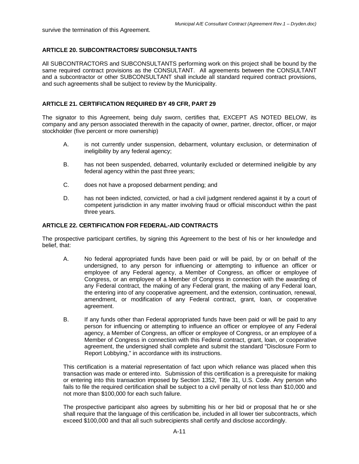survive the termination of this Agreement.

#### **ARTICLE 20. SUBCONTRACTORS/ SUBCONSULTANTS**

All SUBCONTRACTORS and SUBCONSULTANTS performing work on this project shall be bound by the same required contract provisions as the CONSULTANT. All agreements between the CONSULTANT and a subcontractor or other SUBCONSULTANT shall include all standard required contract provisions, and such agreements shall be subject to review by the Municipality.

#### **ARTICLE 21. CERTIFICATION REQUIRED BY 49 CFR, PART 29**

The signator to this Agreement, being duly sworn, certifies that, EXCEPT AS NOTED BELOW, its company and any person associated therewith in the capacity of owner, partner, director, officer, or major stockholder (five percent or more ownership)

- A. is not currently under suspension, debarment, voluntary exclusion, or determination of ineligibility by any federal agency;
- B. has not been suspended, debarred, voluntarily excluded or determined ineligible by any federal agency within the past three years;
- C. does not have a proposed debarment pending; and
- D. has not been indicted, convicted, or had a civil judgment rendered against it by a court of competent jurisdiction in any matter involving fraud or official misconduct within the past three years.

#### **ARTICLE 22. CERTIFICATION FOR FEDERAL-AID CONTRACTS**

The prospective participant certifies, by signing this Agreement to the best of his or her knowledge and belief, that:

- A. No federal appropriated funds have been paid or will be paid, by or on behalf of the undersigned, to any person for influencing or attempting to influence an officer or employee of any Federal agency, a Member of Congress, an officer or employee of Congress, or an employee of a Member of Congress in connection with the awarding of any Federal contract, the making of any Federal grant, the making of any Federal loan, the entering into of any cooperative agreement, and the extension, continuation, renewal, amendment, or modification of any Federal contract, grant, loan, or cooperative agreement.
- B. If any funds other than Federal appropriated funds have been paid or will be paid to any person for influencing or attempting to influence an officer or employee of any Federal agency, a Member of Congress, an officer or employee of Congress, or an employee of a Member of Congress in connection with this Federal contract, grant, loan, or cooperative agreement, the undersigned shall complete and submit the standard "Disclosure Form to Report Lobbying," in accordance with its instructions.

This certification is a material representation of fact upon which reliance was placed when this transaction was made or entered into. Submission of this certification is a prerequisite for making or entering into this transaction imposed by Section 1352, Title 31, U.S. Code. Any person who fails to file the required certification shall be subject to a civil penalty of not less than \$10,000 and not more than \$100,000 for each such failure.

The prospective participant also agrees by submitting his or her bid or proposal that he or she shall require that the language of this certification be, included in all lower tier subcontracts, which exceed \$100,000 and that all such subrecipients shall certify and disclose accordingly.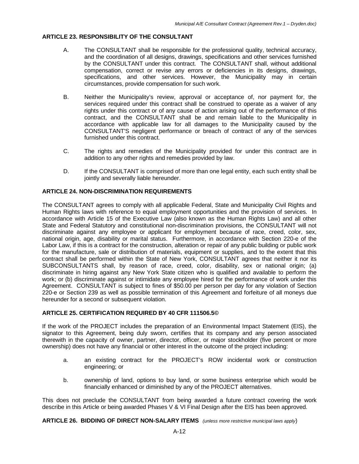#### **ARTICLE 23. RESPONSIBILITY OF THE CONSULTANT**

- A. The CONSULTANT shall be responsible for the professional quality, technical accuracy, and the coordination of all designs, drawings, specifications and other services furnished by the CONSULTANT under this contract. The CONSULTANT shall, without additional compensation, correct or revise any errors or deficiencies in its designs, drawings, specifications, and other services. However, the Municipality may in certain circumstances, provide compensation for such work.
- B. Neither the Municipality's review, approval or acceptance of, nor payment for, the services required under this contract shall be construed to operate as a waiver of any rights under this contract or of any cause of action arising out of the performance of this contract, and the CONSULTANT shall be and remain liable to the Municipality in accordance with applicable law for all damages to the Municipality caused by the CONSULTANT'S negligent performance or breach of contract of any of the services furnished under this contract.
- C. The rights and remedies of the Municipality provided for under this contract are in addition to any other rights and remedies provided by law.
- D. If the CONSULTANT is comprised of more than one legal entity, each such entity shall be jointly and severally liable hereunder.

#### **ARTICLE 24. NON-DISCRIMINATION REQUIREMENTS**

The CONSULTANT agrees to comply with all applicable Federal, State and Municipality Civil Rights and Human Rights laws with reference to equal employment opportunities and the provision of services. In accordance with Article 15 of the Executive Law (also known as the Human Rights Law) and all other State and Federal Statutory and constitutional non-discrimination provisions, the CONSULTANT will not discriminate against any employee or applicant for employment because of race, creed, color, sex, national origin, age, disability or marital status. Furthermore, in accordance with Section 220-e of the Labor Law, if this is a contract for the construction, alteration or repair of any public building or public work for the manufacture, sale or distribution of materials, equipment or supplies, and to the extent that this contract shall be performed within the State of New York, CONSULTANT agrees that neither it nor its SUBCONSULTANTS shall, by reason of race, creed, color, disability, sex or national origin; (a) discriminate in hiring against any New York State citizen who is qualified and available to perform the work; or (b) discriminate against or intimidate any employee hired for the performance of work under this Agreement. CONSULTANT is subject to fines of \$50.00 per person per day for any violation of Section 220-e or Section 239 as well as possible termination of this Agreement and forfeiture of all moneys due hereunder for a second or subsequent violation.

#### **ARTICLE 25. CERTIFICATION REQUIRED BY 40 CFR 111506.5©**

If the work of the PROJECT includes the preparation of an Environmental Impact Statement (EIS), the signator to this Agreement, being duly sworn, certifies that its company and any person associated therewith in the capacity of owner, partner, director, officer, or major stockholder (five percent or more ownership) does not have any financial or other interest in the outcome of the project including:

- a. an existing contract for the PROJECT's ROW incidental work or construction engineering; or
- b. ownership of land, options to buy land, or some business enterprise which would be financially enhanced or diminished by any of the PROJECT alternatives.

This does not preclude the CONSULTANT from being awarded a future contract covering the work describe in this Article or being awarded Phases V & VI Final Design after the EIS has been approved.

**ARTICLE 26. BIDDING OF DIRECT NON-SALARY ITEMS** *(unless more restrictive municipal laws apply*)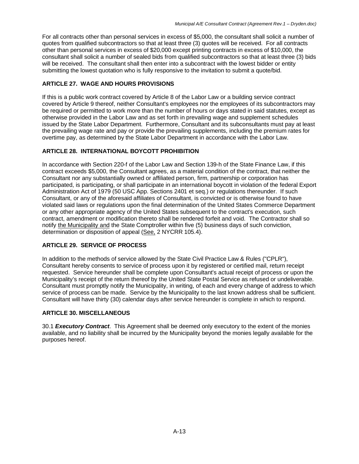For all contracts other than personal services in excess of \$5,000, the consultant shall solicit a number of quotes from qualified subcontractors so that at least three (3) quotes will be received. For all contracts other than personal services in excess of \$20,000 except printing contracts in excess of \$10,000, the consultant shall solicit a number of sealed bids from qualified subcontractors so that at least three (3) bids will be received. The consultant shall then enter into a subcontract with the lowest bidder or entity submitting the lowest quotation who is fully responsive to the invitation to submit a quote/bid.

#### **ARTICLE 27. WAGE AND HOURS PROVISIONS**

If this is a public work contract covered by Article 8 of the Labor Law or a building service contract covered by Article 9 thereof, neither Consultant's employees nor the employees of its subcontractors may be required or permitted to work more than the number of hours or days stated in said statutes, except as otherwise provided in the Labor Law and as set forth in prevailing wage and supplement schedules issued by the State Labor Department. Furthermore, Consultant and its subconsultants must pay at least the prevailing wage rate and pay or provide the prevailing supplements, including the premium rates for overtime pay, as determined by the State Labor Department in accordance with the Labor Law.

#### **ARTICLE 28. INTERNATIONAL BOYCOTT PROHIBITION**

In accordance with Section 220-f of the Labor Law and Section 139-h of the State Finance Law, if this contract exceeds \$5,000, the Consultant agrees, as a material condition of the contract, that neither the Consultant nor any substantially owned or affiliated person, firm, partnership or corporation has participated, is participating, or shall participate in an international boycott in violation of the federal Export Administration Act of 1979 (50 USC App. Sections 2401 et seq.) or regulations thereunder. If such Consultant, or any of the aforesaid affiliates of Consultant, is convicted or is otherwise found to have violated said laws or regulations upon the final determination of the United States Commerce Department or any other appropriate agency of the United States subsequent to the contract's execution, such contract, amendment or modification thereto shall be rendered forfeit and void. The Contractor shall so notify the Municipality and the State Comptroller within five (5) business days of such conviction, determination or disposition of appeal (See, 2 NYCRR 105.4).

#### **ARTICLE 29. SERVICE OF PROCESS**

In addition to the methods of service allowed by the State Civil Practice Law & Rules ("CPLR"), Consultant hereby consents to service of process upon it by registered or certified mail, return receipt requested. Service hereunder shall be complete upon Consultant's actual receipt of process or upon the Municipality's receipt of the return thereof by the United State Postal Service as refused or undeliverable. Consultant must promptly notify the Municipality, in writing, of each and every change of address to which service of process can be made. Service by the Municipality to the last known address shall be sufficient. Consultant will have thirty (30) calendar days after service hereunder is complete in which to respond.

#### **ARTICLE 30. MISCELLANEOUS**

30.1 *Executory Contract*. This Agreement shall be deemed only executory to the extent of the monies available, and no liability shall be incurred by the Municipality beyond the monies legally available for the purposes hereof.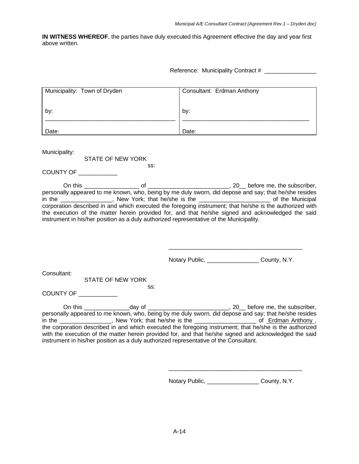**IN WITNESS WHEREOF**, the parties have duly executed this Agreement effective the day and year first above written.

Reference: Municipality Contract # \_\_\_\_\_\_\_\_\_\_\_\_\_\_\_\_

| Municipality: Town of Dryden                                                            | Consultant: Erdman Anthony                                                                                                                                                                                                                                                                                                                                                                                                      |
|-----------------------------------------------------------------------------------------|---------------------------------------------------------------------------------------------------------------------------------------------------------------------------------------------------------------------------------------------------------------------------------------------------------------------------------------------------------------------------------------------------------------------------------|
| by:                                                                                     | by:                                                                                                                                                                                                                                                                                                                                                                                                                             |
| Date:                                                                                   | Date:                                                                                                                                                                                                                                                                                                                                                                                                                           |
| Municipality:<br><b>STATE OF NEW YORK</b>                                               |                                                                                                                                                                                                                                                                                                                                                                                                                                 |
| SS:<br>COUNTY OF ___________                                                            |                                                                                                                                                                                                                                                                                                                                                                                                                                 |
| instrument in his/her position as a duly authorized representative of the Municipality. | personally appeared to me known, who, being by me duly sworn, did depose and say; that he/she resides<br>in the ________________, New York; that he/she is the _________________________ of the Municipal<br>corporation described in and which executed the foregoing instrument; that he/she is the authorized with<br>the execution of the matter herein provided for, and that he/she signed and acknowledged the said      |
|                                                                                         | Notary Public, _________________________ County, N.Y.                                                                                                                                                                                                                                                                                                                                                                           |
| Consultant:<br><b>STATE OF NEW YORK</b><br>SS.<br>COUNTY OF ___________                 |                                                                                                                                                                                                                                                                                                                                                                                                                                 |
| instrument in his/her position as a duly authorized representative of the Consultant.   | personally appeared to me known, who, being by me duly sworn, did depose and say; that he/she resides<br>in the _________________, New York; that he/she is the _______________________ of Erdman Anthony,<br>the corporation described in and which executed the foregoing instrument; that he/she is the authorized<br>with the execution of the matter herein provided for, and that he/she signed and acknowledged the said |

Notary Public, \_\_\_\_\_\_\_\_\_\_\_\_\_\_\_\_ County, N.Y.

 $\overline{\phantom{a}}$  , where  $\overline{\phantom{a}}$  , where  $\overline{\phantom{a}}$  ,  $\overline{\phantom{a}}$  ,  $\overline{\phantom{a}}$  ,  $\overline{\phantom{a}}$  ,  $\overline{\phantom{a}}$  ,  $\overline{\phantom{a}}$  ,  $\overline{\phantom{a}}$  ,  $\overline{\phantom{a}}$  ,  $\overline{\phantom{a}}$  ,  $\overline{\phantom{a}}$  ,  $\overline{\phantom{a}}$  ,  $\overline{\phantom{a}}$  ,  $\overline{\phantom{a}}$  ,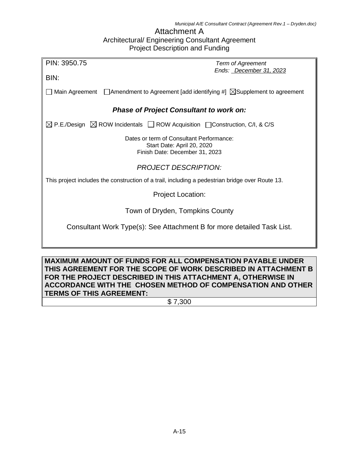#### Attachment A Architectural/ Engineering Consultant Agreement Project Description and Funding

| PIN: 3950.75                                   | <b>Term of Agreement</b>                                                                                   |  |  |  |  |  |  |  |  |  |  |
|------------------------------------------------|------------------------------------------------------------------------------------------------------------|--|--|--|--|--|--|--|--|--|--|
| BIN:                                           | Ends: December 31, 2023                                                                                    |  |  |  |  |  |  |  |  |  |  |
|                                                | Main Agreement $\Box$ Amendment to Agreement [add identifying #] $\Box$ Supplement to agreement            |  |  |  |  |  |  |  |  |  |  |
| <b>Phase of Project Consultant to work on:</b> |                                                                                                            |  |  |  |  |  |  |  |  |  |  |
|                                                | $\boxtimes$ P.E./Design $\boxtimes$ ROW Incidentals $\Box$ ROW Acquisition $\Box$ Construction, C/I, & C/S |  |  |  |  |  |  |  |  |  |  |
|                                                | Dates or term of Consultant Performance:<br>Start Date: April 20, 2020                                     |  |  |  |  |  |  |  |  |  |  |
|                                                | Finish Date: December 31, 2023                                                                             |  |  |  |  |  |  |  |  |  |  |
|                                                | <b>PROJECT DESCRIPTION:</b>                                                                                |  |  |  |  |  |  |  |  |  |  |
|                                                | This project includes the construction of a trail, including a pedestrian bridge over Route 13.            |  |  |  |  |  |  |  |  |  |  |
|                                                | <b>Project Location:</b>                                                                                   |  |  |  |  |  |  |  |  |  |  |
|                                                | Town of Dryden, Tompkins County                                                                            |  |  |  |  |  |  |  |  |  |  |
|                                                | Consultant Work Type(s): See Attachment B for more detailed Task List.                                     |  |  |  |  |  |  |  |  |  |  |
|                                                |                                                                                                            |  |  |  |  |  |  |  |  |  |  |
|                                                |                                                                                                            |  |  |  |  |  |  |  |  |  |  |

**MAXIMUM AMOUNT OF FUNDS FOR ALL COMPENSATION PAYABLE UNDER THIS AGREEMENT FOR THE SCOPE OF WORK DESCRIBED IN ATTACHMENT B FOR THE PROJECT DESCRIBED IN THIS ATTACHMENT A, OTHERWISE IN ACCORDANCE WITH THE CHOSEN METHOD OF COMPENSATION AND OTHER TERMS OF THIS AGREEMENT:**

\$ 7,300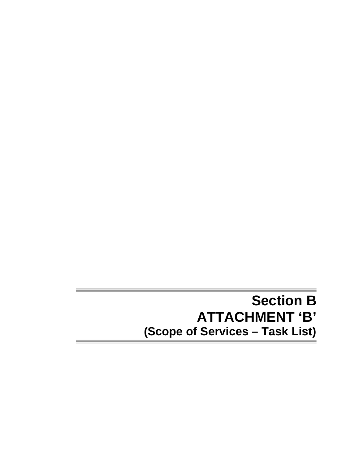## **Section B ATTACHMENT 'B' (Scope of Services – Task List)**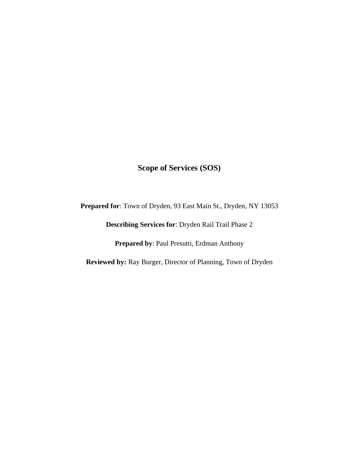### **Scope of Services (SOS)**

**Prepared for**: Town of Dryden, 93 East Main St., Dryden, NY 13053

**Describing Services for**: Dryden Rail Trail Phase 2

**Prepared by**: Paul Presutti, Erdman Anthony

**Reviewed by:** Ray Burger, Director of Planning, Town of Dryden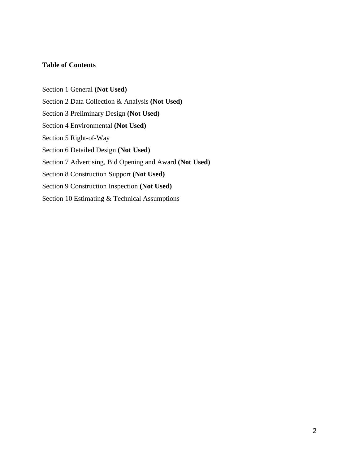#### **Table of Contents**

Section 1 General **(Not Used)** Section 2 Data Collection & Analysis **(Not Used)** Section 3 Preliminary Design **(Not Used)** Section 4 Environmental **(Not Used)** Section 5 Right-of-Way Section 6 Detailed Design **(Not Used)** Section 7 Advertising, Bid Opening and Award **(Not Used)** Section 8 Construction Support **(Not Used)** Section 9 Construction Inspection **(Not Used)** Section 10 Estimating & Technical Assumptions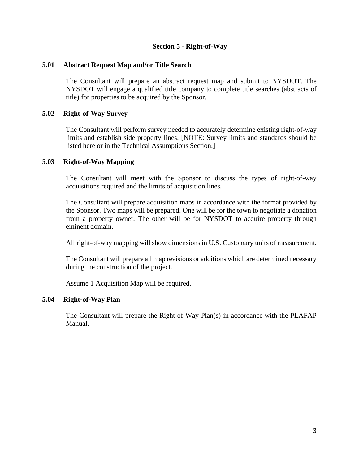#### **Section 5 - Right-of-Way**

#### **5.01 Abstract Request Map and/or Title Search**

The Consultant will prepare an abstract request map and submit to NYSDOT. The NYSDOT will engage a qualified title company to complete title searches (abstracts of title) for properties to be acquired by the Sponsor.

#### **5.02 Right-of-Way Survey**

The Consultant will perform survey needed to accurately determine existing right-of-way limits and establish side property lines. [NOTE: Survey limits and standards should be listed here or in the Technical Assumptions Section.]

#### **5.03 Right-of-Way Mapping**

The Consultant will meet with the Sponsor to discuss the types of right-of-way acquisitions required and the limits of acquisition lines.

The Consultant will prepare acquisition maps in accordance with the format provided by the Sponsor. Two maps will be prepared. One will be for the town to negotiate a donation from a property owner. The other will be for NYSDOT to acquire property through eminent domain.

All right-of-way mapping will show dimensions in U.S. Customary units of measurement.

The Consultant will prepare all map revisions or additions which are determined necessary during the construction of the project.

Assume 1 Acquisition Map will be required.

#### **5.04 Right-of-Way Plan**

The Consultant will prepare the Right-of-Way Plan(s) in accordance with the PLAFAP Manual.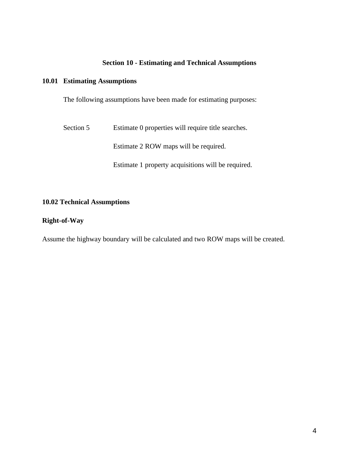#### **Section 10 - Estimating and Technical Assumptions**

#### **10.01 Estimating Assumptions**

The following assumptions have been made for estimating purposes:

Section 5 Estimate 0 properties will require title searches.

Estimate 2 ROW maps will be required.

Estimate 1 property acquisitions will be required.

#### **10.02 Technical Assumptions**

#### **Right-of-Way**

Assume the highway boundary will be calculated and two ROW maps will be created.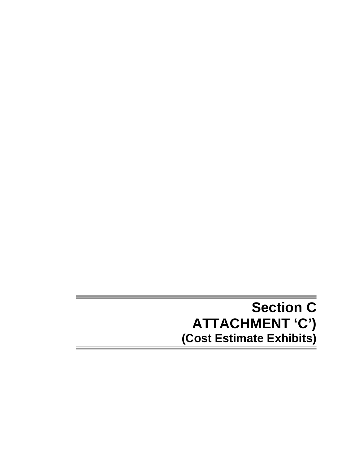## **Section C ATTACHMENT 'C') (Cost Estimate Exhibits)**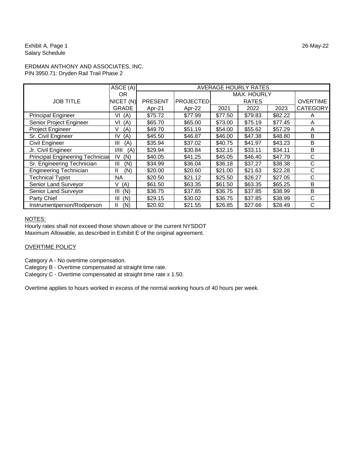Exhibit A, Page 1 26-May-22 Salary Schedule

#### ERDMAN ANTHONY AND ASSOCIATES, INC. PIN 3950.71: Dryden Rail Trail Phase 2

|                                  | $\overline{ASCE}$ (A) |                | <b>AVERAGE HOURLY RATES</b> |         |              |         |                 |  |  |  |  |  |  |  |  |
|----------------------------------|-----------------------|----------------|-----------------------------|---------|--------------|---------|-----------------|--|--|--|--|--|--|--|--|
|                                  | 0R                    |                |                             |         | MAX. HOURLY  |         |                 |  |  |  |  |  |  |  |  |
| <b>JOB TITLE</b>                 | NICET (N)             | <b>PRESENT</b> | <b>PROJECTED</b>            |         | <b>RATES</b> |         | <b>OVERTIME</b> |  |  |  |  |  |  |  |  |
|                                  | <b>GRADE</b>          | Apr-21         | Apr-22                      | 2021    | 2022         | 2023    | <b>CATEGORY</b> |  |  |  |  |  |  |  |  |
| <b>Principal Engineer</b>        | VI<br>(A)             | \$75.72        | \$77.99                     | \$77.50 | \$79.83      | \$82.22 | A               |  |  |  |  |  |  |  |  |
| Senior Project Engineer          | (A)<br>VI             | \$65.70        | \$65.00                     | \$73.00 | \$75.19      | \$77.45 | A               |  |  |  |  |  |  |  |  |
| Project Engineer                 | (A)<br>V              | \$49.70        | \$51.19                     | \$54.00 | \$55.62      | \$57.29 | A               |  |  |  |  |  |  |  |  |
| Sr. Civil Engineer               | IV<br>(A)             | \$45.50        | \$46.87                     | \$46.00 | \$47.38      | \$48.80 | B               |  |  |  |  |  |  |  |  |
| Civil Engineer                   | Ш<br>(A)              | \$35.94        | \$37.02                     | \$40.75 | \$41.97      | \$43.23 | B               |  |  |  |  |  |  |  |  |
| Jr. Civil Engineer               | I/III<br>(A)          | \$29.94        | \$30.84                     | \$32.15 | \$33.11      | \$34.11 | B               |  |  |  |  |  |  |  |  |
| Principal Engineering Techniciar | (N)<br>IV             | \$40.05        | \$41.25                     | \$45.05 | \$46.40      | \$47.79 | C               |  |  |  |  |  |  |  |  |
| Sr. Engineering Technician       | (N)<br>Ш              | \$34.99        | \$36.04                     | \$36.18 | \$37.27      | \$38.38 | C               |  |  |  |  |  |  |  |  |
| <b>Engineering Technician</b>    | II<br>(N)             | \$20.00        | \$20.60                     | \$21.00 | \$21.63      | \$22.28 | C               |  |  |  |  |  |  |  |  |
| <b>Technical Typist</b>          | <b>NA</b>             | \$20.50        | \$21.12                     | \$25.50 | \$26.27      | \$27.05 | C               |  |  |  |  |  |  |  |  |
| Senior Land Surveyor             | (A)<br>V              | \$61.50        | \$63.35                     | \$61.50 | \$63.35      | \$65.25 | B               |  |  |  |  |  |  |  |  |
| Senior Land Surveyor             | (N)<br>Ш              | \$36.75        | \$37.85                     | \$36.75 | \$37.85      | \$38.99 | B               |  |  |  |  |  |  |  |  |
| Party Chief                      | (N)<br>Ш              | \$29.15        | \$30.02                     | \$36.75 | \$37.85      | \$38.99 | C               |  |  |  |  |  |  |  |  |
| Instrumentperson/Rodperson       | Ш<br>(N)              | \$20.92        | \$21.55                     | \$26.85 | \$27.66      | \$28.49 | C               |  |  |  |  |  |  |  |  |

#### NOTES:

Hourly rates shall not exceed those shown above or the current NYSDOT Maximum Allowable, as described in Exhibit E of the original agreement.

#### OVERTIME POLICY

Category A - No overtime compensation.

Category B - Overtime compensated at straight time rate.

Category C - Overtime compensated at straight time rate x 1.50.

Overtime applies to hours worked in excess of the normal working hours of 40 hours per week.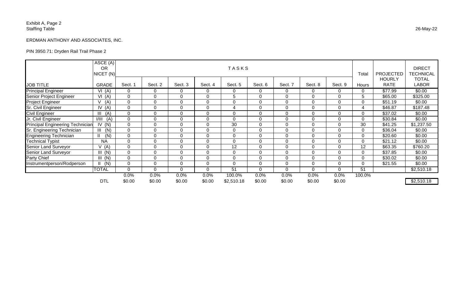### Exhibit A, Page 2 Staffing Table 26-May-22

### ERDMAN ANTHONY AND ASSOCIATES, INC.

### PIN 3950.71: Dryden Rail Trail Phase 2

|                                         | $\overline{\text{ASCE (A)}}$<br><b>OR</b><br>NICET (N) |                |                |                | Total          | <b>PROJECTED</b> | <b>DIRECT</b><br><b>TECHNICAL</b> |                |                |                |                |                              |                              |
|-----------------------------------------|--------------------------------------------------------|----------------|----------------|----------------|----------------|------------------|-----------------------------------|----------------|----------------|----------------|----------------|------------------------------|------------------------------|
| <b>JOB TITLE</b>                        | <b>GRADE</b>                                           | Sect. 1        | Sect. 2        | Sect. 3        | Sect. 4        | Sect. 5          | Sect. 6                           | Sect. 7        | Sect. 8        | Sect. 9        | Hours          | <b>HOURLY</b><br><b>RATE</b> | <b>TOTAL</b><br><b>LABOR</b> |
| <b>Principal Engineer</b>               | VI(A)                                                  | $\Omega$       | $\mathbf 0$    | $\overline{0}$ | $\Omega$       | 0                | $\overline{0}$                    | $\mathbf 0$    | $\mathbf 0$    | 0              | $\Omega$       | \$77.99                      | \$0.00                       |
| Senior Project Engineer                 | VI(A)                                                  | $\overline{0}$ | $\overline{0}$ | $\overline{0}$ | $\Omega$       | 5                | $\mathbf 0$                       | $\overline{0}$ | $\mathbf 0$    | $\overline{0}$ | 5              | \$65.00                      | \$325.00                     |
| <b>Project Engineer</b>                 | (A)                                                    | $\overline{0}$ | $\overline{0}$ | $\overline{0}$ | $\Omega$       | $\Omega$         | $\mathbf 0$                       | $\overline{0}$ | $\overline{0}$ | 0              | $\mathbf 0$    | \$51.19                      | \$0.00                       |
| <b>Sr. Civil Engineer</b>               | IV(A)                                                  | $\overline{0}$ | $\Omega$       | $\overline{0}$ | $\overline{0}$ |                  | $\mathbf 0$                       | $\mathbf 0$    | $\overline{0}$ | 0              | 4              | \$46.87                      | \$187.48                     |
| <b>Civil Engineer</b>                   | $\mathbf{III}$<br>(A)                                  | $\overline{0}$ | $\overline{0}$ | $\mathbf 0$    | $\Omega$       | $\overline{0}$   | $\mathbf 0$                       | $\overline{0}$ | 0              | 0              | $\overline{0}$ | \$37.02                      | \$0.00                       |
| Jr. Civil Engineer                      | 1/111<br>(A)                                           | $\overline{0}$ | $\mathbf 0$    | $\overline{0}$ | $\overline{0}$ | $\overline{0}$   | $\mathbf 0$                       | $\overline{0}$ | $\mathbf 0$    | $\overline{0}$ | $\mathbf 0$    | \$30.84                      | \$0.00                       |
| <b>Principal Engineering Technician</b> | IV<br>(N)                                              | $\overline{0}$ | $\mathbf 0$    | $\mathbf 0$    | $\overline{0}$ | 30               | $\mathbf 0$                       | $\mathbf 0$    | 0              | 0              | 30             | \$41.25                      | \$1,237.50                   |
| Sr. Engineering Technician              | III<br>(N)                                             | $\overline{0}$ | $\mathbf 0$    | $\overline{0}$ | $\Omega$       | $\Omega$         | $\mathbf 0$                       | $\overline{0}$ | $\mathbf 0$    | $\overline{0}$ | $\overline{0}$ | \$36.04                      | \$0.00                       |
| <b>Engineering Technician</b>           | $\mathbf{II}$<br>(N)                                   | $\overline{0}$ | $\Omega$       | $\Omega$       | $\Omega$       | $\Omega$         | $\mathbf 0$                       | $\overline{0}$ | $\overline{0}$ | 0              | $\overline{0}$ | \$20.60                      | \$0.00                       |
| <b>Technical Typist</b>                 | <b>NA</b>                                              | $\overline{0}$ | $\mathbf 0$    | $\mathbf 0$    | $\Omega$       | $\Omega$         | $\mathbf 0$                       | $\overline{0}$ | $\mathbf 0$    | 0              | 0              | \$21.12                      | \$0.00                       |
| <b>Senior Land Surveyor</b>             | V(A)                                                   | $\overline{0}$ | $\mathbf 0$    | $\overline{0}$ | $\Omega$       | 12               | $\mathbf 0$                       | $\overline{0}$ | $\overline{0}$ | $\Omega$       | 12             | \$63.35                      | \$760.20                     |
| <b>Senior Land Surveyor</b>             | III (N)                                                | $\overline{0}$ | $\Omega$       | $\overline{0}$ | $\Omega$       | $\Omega$         | $\mathbf 0$                       | $\overline{0}$ | $\overline{0}$ | $\overline{0}$ | $\overline{0}$ | \$37.85                      | \$0.00                       |
| <b>Party Chief</b>                      | III (N)                                                | $\overline{0}$ | $\overline{0}$ | $\overline{0}$ | $\Omega$       | $\Omega$         | $\mathbf 0$                       | $\overline{0}$ | $\overline{0}$ | 0              | 0              | \$30.02                      | \$0.00                       |
| Instrumentperson/Rodperson              | (N)                                                    | $\overline{0}$ | $\mathbf 0$    | $\Omega$       | $\Omega$       | $\Omega$         | $\mathbf 0$                       | $\overline{0}$ | $\overline{0}$ | 0              | 0              | \$21.55                      | \$0.00                       |
|                                         | <b>TOTAL</b>                                           | $\overline{0}$ | $\overline{0}$ | $\overline{0}$ | $\overline{0}$ | 51               | $\mathbf 0$                       | $\overline{0}$ | $\overline{0}$ | $\mathbf 0$    | 51             |                              | \$2,510.18                   |
|                                         |                                                        | 0.0%           | 0.0%           | 0.0%           | 0.0%           | 100.0%           | 0.0%                              | 0.0%           | 0.0%           | 0.0%           | 100.0%         |                              |                              |
|                                         | <b>DTL</b>                                             | \$0.00         | \$0.00         | \$0.00         | \$0.00         | \$2,510.18       | \$0.00                            | \$0.00         | \$0.00         | \$0.00         |                |                              | \$2,510.18                   |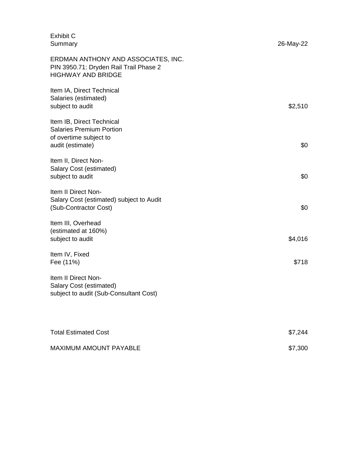| <b>Exhibit C</b><br>Summary                                                                                | 26-May-22 |  |
|------------------------------------------------------------------------------------------------------------|-----------|--|
| ERDMAN ANTHONY AND ASSOCIATES, INC.<br>PIN 3950.71: Dryden Rail Trail Phase 2<br><b>HIGHWAY AND BRIDGE</b> |           |  |
| Item IA, Direct Technical<br>Salaries (estimated)<br>subject to audit                                      | \$2,510   |  |
| Item IB, Direct Technical<br><b>Salaries Premium Portion</b><br>of overtime subject to<br>audit (estimate) | \$0       |  |
| Item II, Direct Non-<br>Salary Cost (estimated)<br>subject to audit                                        | \$0       |  |
| Item II Direct Non-<br>Salary Cost (estimated) subject to Audit<br>(Sub-Contractor Cost)                   | \$0       |  |
| Item III, Overhead<br>(estimated at 160%)<br>subject to audit                                              | \$4,016   |  |
| Item IV, Fixed<br>Fee (11%)                                                                                | \$718     |  |
| Item II Direct Non-<br>Salary Cost (estimated)<br>subject to audit (Sub-Consultant Cost)                   |           |  |
| <b>Total Estimated Cost</b>                                                                                | \$7,244   |  |
| MAXIMUM AMOUNT PAYABLE                                                                                     | \$7,300   |  |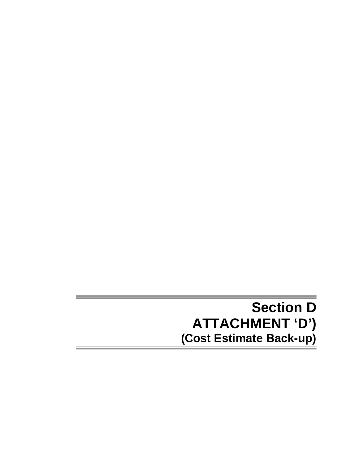## **Section D ATTACHMENT 'D') (Cost Estimate Back-up)**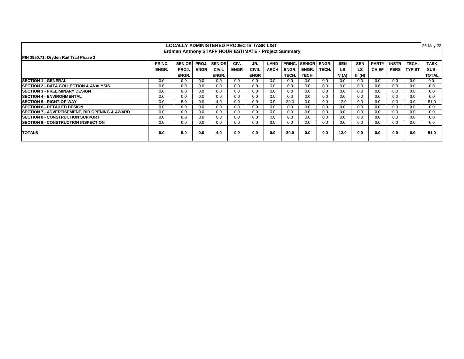|                                                                                                                                                                                | <b>LOCALLY ADMINISTERED PROJECTS TASK LIST</b> |       |             |              |             |              |             |       |       |       |           |        |              |             | 26-May-22     |              |
|--------------------------------------------------------------------------------------------------------------------------------------------------------------------------------|------------------------------------------------|-------|-------------|--------------|-------------|--------------|-------------|-------|-------|-------|-----------|--------|--------------|-------------|---------------|--------------|
| Erdman Anthony STAFF HOUR ESTIMATE - Project Summary                                                                                                                           |                                                |       |             |              |             |              |             |       |       |       |           |        |              |             |               |              |
| PIN 3950.71: Dryden Rail Trail Phase 2                                                                                                                                         |                                                |       |             |              |             |              |             |       |       |       |           |        |              |             |               |              |
| <b>PRINC. SENIOR</b><br><b>SENIOR</b><br>ENGR.<br><b>SEN</b><br><b>INSTR</b><br><b>SENIOR</b><br>PROJ.<br>JR.<br><b>SEN</b><br><b>PARTY</b><br>TECH.<br>PRINC.<br>CIV.<br>LAND |                                                |       |             |              |             |              |             |       |       |       |           |        |              | <b>TASK</b> |               |              |
|                                                                                                                                                                                | ENGR.                                          | PROJ. | <b>ENGR</b> | <b>CIVIL</b> | <b>ENGR</b> | <b>CIVIL</b> | <b>ARCH</b> | ENGR. | ENGR. | TECH. | <b>LS</b> | LS     | <b>CHIEF</b> | <b>PERS</b> | <b>TYPIST</b> | SUB-         |
|                                                                                                                                                                                |                                                | ENGR. |             | ENGR.        |             | <b>ENGR</b>  |             | TECH. | TECH. |       | V(A)      | III(N) |              |             |               | <b>TOTAL</b> |
| <b>ISECTION 1 - GENERAL</b>                                                                                                                                                    | 0.0                                            | 0.0   | 0.0         | 0.0          | 0.0         | 0.0          | 0.0         | 0.0   | 0.0   | 0.0   | 0.0       | 0.0    | 0.0          | 0.0         | 0.0           | 0.0          |
| <b>ISECTION 2 - DATA COLLECTION &amp; ANALYSIS</b>                                                                                                                             | 0.0                                            | 0.0   | 0.0         | 0.0          | 0.0         | 0.0          | 0.0         | 0.0   | 0.0   | 0.0   | 0.0       | 0.0    | 0.0          | 0.0         | 0.0           | 0.0          |
| <b>ISECTION 3 - PRELIMINARY DESIGN</b>                                                                                                                                         | 0.0                                            | 0.0   | 0.0         | 0.0          | 0.0         | 0.0          | 0.0         | 0.0   | 0.0   | 0.0   | 0.0       | 0.0    | 0.0          | 0.0         | 0.0           | 0.0          |
| <b>SECTION 4 - ENVIRONMENTAL</b>                                                                                                                                               | 0.0                                            | 0.0   | 0.0         | 0.0          | 0.0         | 0.0          | 0.0         | 0.0   | 0.0   | 0.0   | 0.0       | 0.0    | 0.0          | 0.0         | 0.0           | 0.0          |
| <b>ISECTION 5 - RIGHT-OF-WAY</b>                                                                                                                                               | 0.0                                            | 5.0   | 0.0         | 4.0          | 0.0         | 0.0          | 0.0         | 30.0  | 0.0   | 0.0   | 12.0      | 0.0    | 0.0          | 0.0         | 0.0           | 51.0         |
| <b>SECTION 6 - DETAILED DESIGN</b>                                                                                                                                             | 0.0                                            | 0.0   | 0.0         | 0.0          | 0.0         | 0.0          | 0.0         | 0.0   | 0.0   | 0.0   | 0.0       | 0.0    | 0.0          | 0.0         | 0.0           | 0.0          |
| ISECTION 7 - ADVERTISEMENT. BID OPENING & AWARD                                                                                                                                | 0.0                                            | 0.0   | 0.0         | 0.0          | 0.0         | 0.0          | 0.0         | 0.0   | 0.0   | 0.0   | 0.0       | 0.0    | 0.0          | 0.0         | 0.0           | 0.0          |
| <b>ISECTION 8 - CONSTRUCTION SUPPORT</b>                                                                                                                                       | 0.0                                            | 0.0   | 0.0         | 0.0          | 0.0         | 0.0          | 0.0         | 0.0   | 0.0   | 0.0   | 0.0       | 0.0    | 0.0          | 0.0         | 0.0           | 0.0          |
| <b>ISECTION 9 - CONSTRUCTION INSPECTION</b>                                                                                                                                    | 0.0                                            | 0.0   | 0.0         | 0.0          | 0.0         | 0.0          | 0.0         | 0.0   | 0.0   | 0.0   | 0.0       | 0.0    | 0.0          | 0.0         | 0.0           | 0.0          |
| <b>TOTALS</b>                                                                                                                                                                  | 0.0                                            | 5.0   | 0.0         | 4.0          | 0.0         | 0.0          | 0.0         | 30.0  | 0.0   | 0.0   | 12.0      | 0.0    | 0.0          | 0.0         | 0.0           | 51.0         |